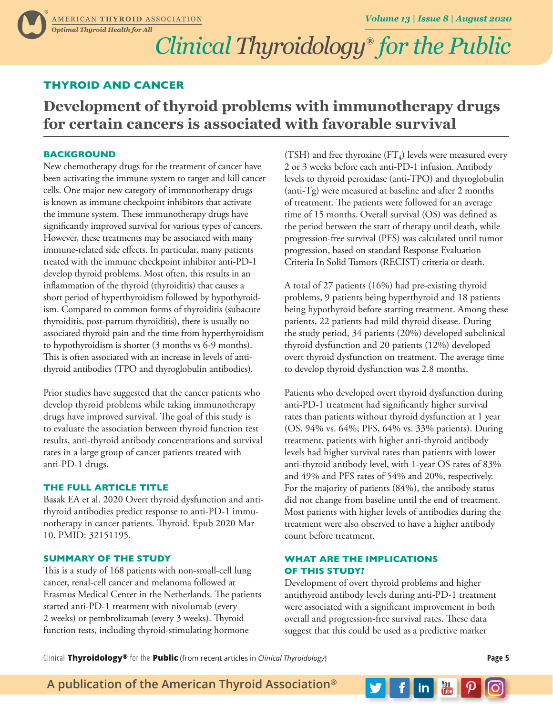# *Clinical Thyroidology***®** *for the Public*

## **THYROID AND CANCER**

## **Development of thyroid problems with immunotherapy drugs for certain cancers is associated with favorable survival**

## **BACKGROUND**

New chemotherapy drugs for the treatment of cancer have been activating the immune system to target and kill cancer cells. One major new category of immunotherapy drugs is known as immune checkpoint inhibitors that activate the immune system. These immunotherapy drugs have significantly improved survival for various types of cancers. However, these treatments may be associated with many immune-related side effects. In particular, many patients treated with the immune checkpoint inhibitor anti-PD-1 develop thyroid problems. Most often, this results in an inflammation of the thyroid (thyroiditis) that causes a short period of hyperthyroidism followed by hypothyroidism. Compared to common forms of thyroiditis (subacute thyroiditis, post-partum thyroiditis), there is usually no associated thyroid pain and the time from hyperthyroidism to hypothyroidism is shorter (3 months vs 6-9 months). This is often associated with an increase in levels of antithyroid antibodies (TPO and thyroglobulin antibodies).

Prior studies have suggested that the cancer patients who develop thyroid problems while taking immunotherapy drugs have improved survival. The goal of this study is to evaluate the association between thyroid function test results, anti-thyroid antibody concentrations and survival rates in a large group of cancer patients treated with anti-PD-1 drugs.

### **THE FULL ARTICLE TITLE**

Basak EA et al. 2020 Overt thyroid dysfunction and antithyroid antibodies predict response to anti-PD-1 immunotherapy in cancer patients. Thyroid. Epub 2020 Mar 10. PMID: 32151195.

### **SUMMARY OF THE STUDY**

This is a study of 168 patients with non-small-cell lung cancer, renal-cell cancer and melanoma followed at Erasmus Medical Center in the Netherlands. The patients started anti-PD-1 treatment with nivolumab (every 2 weeks) or pembrolizumab (every 3 weeks). Thyroid function tests, including thyroid-stimulating hormone

(TSH) and free thyroxine (FT<sub>4</sub>) levels were measured every 2 or 3 weeks before each anti-PD-1 infusion. Antibody levels to thyroid peroxidase (anti-TPO) and thyroglobulin (anti-Tg) were measured at baseline and after 2 months of treatment. The patients were followed for an average time of 15 months. Overall survival (OS) was defined as the period between the start of therapy until death, while progression-free survival (PFS) was calculated until tumor progression, based on standard Response Evaluation Criteria In Solid Tumors (RECIST) criteria or death.

A total of 27 patients (16%) had pre-existing thyroid problems, 9 patients being hyperthyroid and 18 patients being hypothyroid before starting treatment. Among these patients, 22 patients had mild thyroid disease. During the study period, 34 patients (20%) developed subclinical thyroid dysfunction and 20 patients (12%) developed overt thyroid dysfunction on treatment. The average time to develop thyroid dysfunction was 2.8 months.

Patients who developed overt thyroid dysfunction during anti-PD-1 treatment had significantly higher survival rates than patients without thyroid dysfunction at 1 year (OS, 94% vs. 64%; PFS, 64% vs. 33% patients). During treatment, patients with higher anti-thyroid antibody levels had higher survival rates than patients with lower anti-thyroid antibody level, with 1-year OS rates of 83% and 49% and PFS rates of 54% and 20%, respectively. For the majority of patients (84%), the antibody status did not change from baseline until the end of treatment. Most patients with higher levels of antibodies during the treatment were also observed to have a higher antibody count before treatment.

## **WHAT ARE THE IMPLICATIONS OF THIS STUDY?**

Development of overt thyroid problems and higher antithyroid antibody levels during anti-PD-1 treatment were associated with a significant improvement in both overall and progression-free survival rates. These data suggest that this could be used as a predictive marker

Clinical **Thyroidology®** for the **Public** (from recent articles in *Clinical Thyroidology*) **Page 5**

**A publication of the American Thyroid Association®**

You<br>**Trine** in I